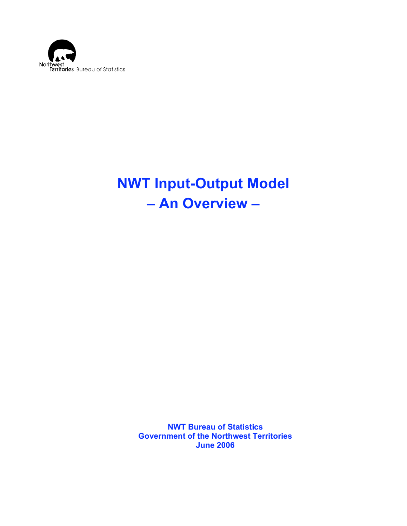

# **NWT Input-Output Model – An Overview –**

**NWT Bureau of Statistics Government of the Northwest Territories June 2006**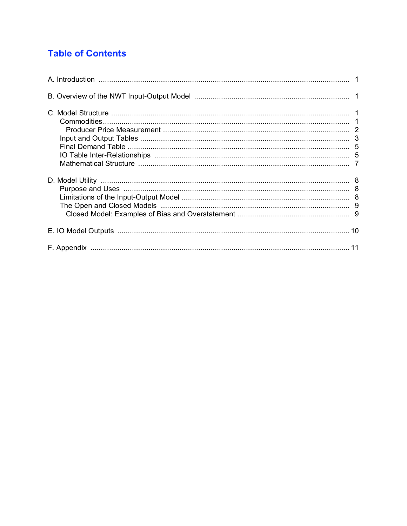# **Table of Contents**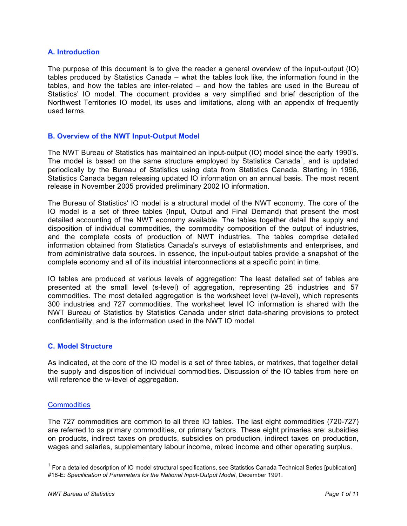# **A. Introduction**

The purpose of this document is to give the reader a general overview of the input-output (IO) tables produced by Statistics Canada – what the tables look like, the information found in the tables, and how the tables are inter-related – and how the tables are used in the Bureau of Statistics' IO model. The document provides a very simplified and brief description of the Northwest Territories IO model, its uses and limitations, along with an appendix of frequently used terms.

# **B. Overview of the NWT Input-Output Model**

The NWT Bureau of Statistics has maintained an input-output (IO) model since the early 1990's. The model is based on the same structure employed by Statistics Canada<sup>1</sup>, and is updated periodically by the Bureau of Statistics using data from Statistics Canada. Starting in 1996, Statistics Canada began releasing updated IO information on an annual basis. The most recent release in November 2005 provided preliminary 2002 IO information.

The Bureau of Statistics' IO model is a structural model of the NWT economy. The core of the IO model is a set of three tables (Input, Output and Final Demand) that present the most detailed accounting of the NWT economy available. The tables together detail the supply and disposition of individual commodities, the commodity composition of the output of industries, and the complete costs of production of NWT industries. The tables comprise detailed information obtained from Statistics Canada's surveys of establishments and enterprises, and from administrative data sources. In essence, the input-output tables provide a snapshot of the complete economy and all of its industrial interconnections at a specific point in time.

IO tables are produced at various levels of aggregation: The least detailed set of tables are presented at the small level (s-level) of aggregation, representing 25 industries and 57 commodities. The most detailed aggregation is the worksheet level (w-level), which represents 300 industries and 727 commodities. The worksheet level IO information is shared with the NWT Bureau of Statistics by Statistics Canada under strict data-sharing provisions to protect confidentiality, and is the information used in the NWT IO model.

# **C. Model Structure**

As indicated, at the core of the IO model is a set of three tables, or matrixes, that together detail the supply and disposition of individual commodities. Discussion of the IO tables from here on will reference the w-level of aggregation.

# **Commodities**

The 727 commodities are common to all three IO tables. The last eight commodities (720-727) are referred to as primary commodities, or primary factors. These eight primaries are: subsidies on products, indirect taxes on products, subsidies on production, indirect taxes on production, wages and salaries, supplementary labour income, mixed income and other operating surplus.

 $1$  For a detailed description of IO model structural specifications, see Statistics Canada Technical Series [publication] #18-E: *Specification of Parameters for the National Input-Output Model*, December 1991.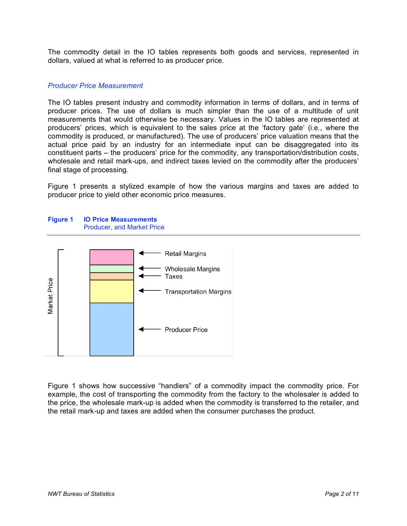The commodity detail in the IO tables represents both goods and services, represented in dollars, valued at what is referred to as producer price.

#### *Producer Price Measurement*

The IO tables present industry and commodity information in terms of dollars, and in terms of producer prices. The use of dollars is much simpler than the use of a multitude of unit measurements that would otherwise be necessary. Values in the IO tables are represented at producers' prices, which is equivalent to the sales price at the 'factory gate' (i.e., where the commodity is produced, or manufactured). The use of producers' price valuation means that the actual price paid by an industry for an intermediate input can be disaggregated into its constituent parts – the producers' price for the commodity, any transportation/distribution costs, wholesale and retail mark-ups, and indirect taxes levied on the commodity after the producers' final stage of processing.

Figure 1 presents a stylized example of how the various margins and taxes are added to producer price to yield other economic price measures.





Figure 1 shows how successive "handlers" of a commodity impact the commodity price. For example, the cost of transporting the commodity from the factory to the wholesaler is added to the price, the wholesale mark-up is added when the commodity is transferred to the retailer, and the retail mark-up and taxes are added when the consumer purchases the product.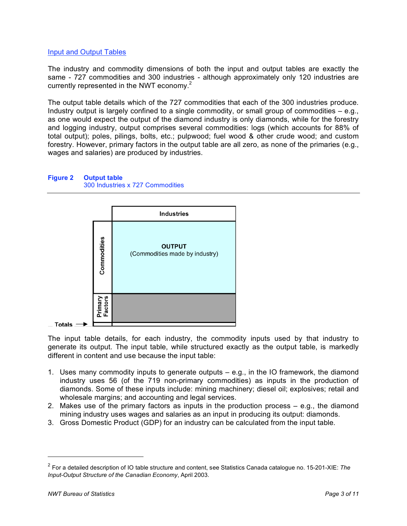# **Input and Output Tables**

The industry and commodity dimensions of both the input and output tables are exactly the same - 727 commodities and 300 industries - although approximately only 120 industries are currently represented in the NWT economy.<sup>2</sup>

The output table details which of the 727 commodities that each of the 300 industries produce. Industry output is largely confined to a single commodity, or small group of commodities  $-$  e.g., as one would expect the output of the diamond industry is only diamonds, while for the forestry and logging industry, output comprises several commodities: logs (which accounts for 88% of total output); poles, pilings, bolts, etc.; pulpwood; fuel wood & other crude wood; and custom forestry. However, primary factors in the output table are all zero, as none of the primaries (e.g., wages and salaries) are produced by industries.

## **Figure 2 Output table** 300 Industries x 727 Commodities



The input table details, for each industry, the commodity inputs used by that industry to generate its output. The input table, while structured exactly as the output table, is markedly different in content and use because the input table:

- 1. Uses many commodity inputs to generate outputs e.g., in the IO framework, the diamond industry uses 56 (of the 719 non-primary commodities) as inputs in the production of diamonds. Some of these inputs include: mining machinery; diesel oil; explosives; retail and wholesale margins; and accounting and legal services.
- 2. Makes use of the primary factors as inputs in the production process e.g., the diamond mining industry uses wages and salaries as an input in producing its output: diamonds.
- 3. Gross Domestic Product (GDP) for an industry can be calculated from the input table.

 $\overline{a}$ 

<sup>2</sup> For a detailed description of IO table structure and content, see Statistics Canada catalogue no. 15-201-XIE: *The Input-Output Structure of the Canadian Economy*, April 2003.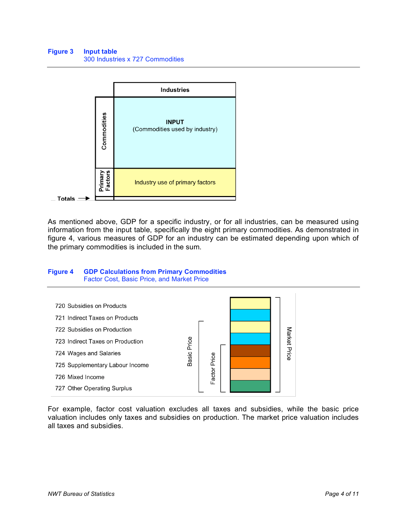

As mentioned above, GDP for a specific industry, or for all industries, can be measured using information from the input table, specifically the eight primary commodities. As demonstrated in figure 4, various measures of GDP for an industry can be estimated depending upon which of the primary commodities is included in the sum.

#### **Figure 4 GDP Calculations from Primary Commodities** Factor Cost, Basic Price, and Market Price



For example, factor cost valuation excludes all taxes and subsidies, while the basic price valuation includes only taxes and subsidies on production. The market price valuation includes all taxes and subsidies.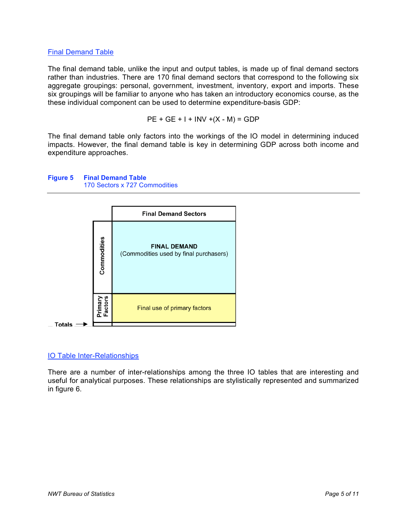# Final Demand Table

The final demand table, unlike the input and output tables, is made up of final demand sectors rather than industries. There are 170 final demand sectors that correspond to the following six aggregate groupings: personal, government, investment, inventory, export and imports. These six groupings will be familiar to anyone who has taken an introductory economics course, as the these individual component can be used to determine expenditure-basis GDP:

PE + GE + I + INV +(X - M) = GDP

The final demand table only factors into the workings of the IO model in determining induced impacts. However, the final demand table is key in determining GDP across both income and expenditure approaches.



#### **Figure 5 Final Demand Table** 170 Sectors x 727 Commodities

# IO Table Inter-Relationships

There are a number of inter-relationships among the three IO tables that are interesting and useful for analytical purposes. These relationships are stylistically represented and summarized in figure 6.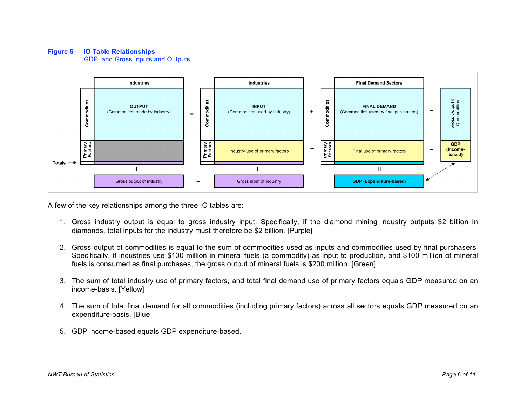# **Figure 6 IO Table Relationships**

GDP, and Gross Inputs and Outputs



A few of the key relationships among the three IO tables are:

- 1. Gross industry output is equal to gross industry input. Specifically, if the diamond mining industry outputs \$2 billion in diamonds, total inputs for the industry must therefore be \$2 billion. [Purple]
- 2. Gross output of commodities is equal to the sum of commodities used as inputs and commodities used by final purchasers. Specifically, if industries use \$100 million in mineral fuels (a commodity) as input to production, and \$100 million of mineral fuels is consumed as final purchases, the gross output of mineral fuels is \$200 million. [Green]
- 3. The sum of total industry use of primary factors, and total final demand use of primary factors equals GDP measured on an income-basis. [Yellow]
- 4. The sum of total final demand for all commodities (including primary factors) across all sectors equals GDP measured on an expenditure-basis. [Blue]
- 5. GDP income-based equals GDP expenditure-based.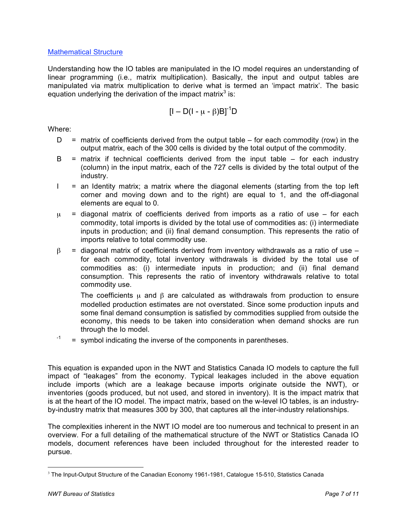# Mathematical Structure

Understanding how the IO tables are manipulated in the IO model requires an understanding of linear programming (i.e., matrix multiplication). Basically, the input and output tables are manipulated via matrix multiplication to derive what is termed an 'impact matrix'. The basic equation underlying the derivation of the impact matrix<sup>3</sup> is:

$$
[I - D(I - \mu - \beta)B]^{-1}D
$$

Where:

- $D =$  matrix of coefficients derived from the output table for each commodity (row) in the output matrix, each of the 300 cells is divided by the total output of the commodity.
- $B =$  matrix if technical coefficients derived from the input table  $-$  for each industry (column) in the input matrix, each of the 727 cells is divided by the total output of the industry.
- $I =$  an Identity matrix; a matrix where the diagonal elements (starting from the top left corner and moving down and to the right) are equal to 1, and the off-diagonal elements are equal to 0.
- $\mu$  = diagonal matrix of coefficients derived from imports as a ratio of use for each commodity, total imports is divided by the total use of commodities as: (i) intermediate inputs in production; and (ii) final demand consumption. This represents the ratio of imports relative to total commodity use.
- $β = diagonal matrix of coefficients derived from inventory withdrawals as a ratio of use –\n $β = diag of the image.$$ for each commodity, total inventory withdrawals is divided by the total use of commodities as: (i) intermediate inputs in production; and (ii) final demand consumption. This represents the ratio of inventory withdrawals relative to total commodity use.

The coefficients  $\mu$  and  $\beta$  are calculated as withdrawals from production to ensure modelled production estimates are not overstated. Since some production inputs and some final demand consumption is satisfied by commodities supplied from outside the economy, this needs to be taken into consideration when demand shocks are run through the Io model.

 $-1$  = symbol indicating the inverse of the components in parentheses.

This equation is expanded upon in the NWT and Statistics Canada IO models to capture the full impact of "leakages" from the economy. Typical leakages included in the above equation include imports (which are a leakage because imports originate outside the NWT), or inventories (goods produced, but not used, and stored in inventory). It is the impact matrix that is at the heart of the IO model. The impact matrix, based on the w-level IO tables, is an industryby-industry matrix that measures 300 by 300, that captures all the inter-industry relationships.

The complexities inherent in the NWT IO model are too numerous and technical to present in an overview. For a full detailing of the mathematical structure of the NWT or Statistics Canada IO models, document references have been included throughout for the interested reader to pursue.

<sup>&</sup>lt;sup>3</sup> The Input-Output Structure of the Canadian Economy 1961-1981, Catalogue 15-510, Statistics Canada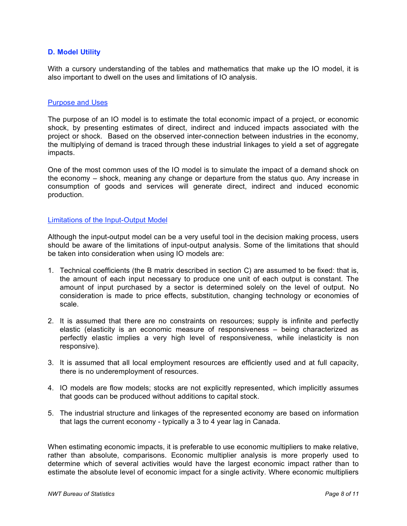# **D. Model Utility**

With a cursory understanding of the tables and mathematics that make up the IO model, it is also important to dwell on the uses and limitations of IO analysis.

#### Purpose and Uses

The purpose of an IO model is to estimate the total economic impact of a project, or economic shock, by presenting estimates of direct, indirect and induced impacts associated with the project or shock. Based on the observed inter-connection between industries in the economy, the multiplying of demand is traced through these industrial linkages to yield a set of aggregate impacts.

One of the most common uses of the IO model is to simulate the impact of a demand shock on the economy – shock, meaning any change or departure from the status quo. Any increase in consumption of goods and services will generate direct, indirect and induced economic production.

# Limitations of the Input-Output Model

Although the input-output model can be a very useful tool in the decision making process, users should be aware of the limitations of input-output analysis. Some of the limitations that should be taken into consideration when using IO models are:

- 1. Technical coefficients (the B matrix described in section C) are assumed to be fixed: that is, the amount of each input necessary to produce one unit of each output is constant. The amount of input purchased by a sector is determined solely on the level of output. No consideration is made to price effects, substitution, changing technology or economies of scale.
- 2. It is assumed that there are no constraints on resources; supply is infinite and perfectly elastic (elasticity is an economic measure of responsiveness – being characterized as perfectly elastic implies a very high level of responsiveness, while inelasticity is non responsive).
- 3. It is assumed that all local employment resources are efficiently used and at full capacity, there is no underemployment of resources.
- 4. IO models are flow models; stocks are not explicitly represented, which implicitly assumes that goods can be produced without additions to capital stock.
- 5. The industrial structure and linkages of the represented economy are based on information that lags the current economy - typically a 3 to 4 year lag in Canada.

When estimating economic impacts, it is preferable to use economic multipliers to make relative, rather than absolute, comparisons. Economic multiplier analysis is more properly used to determine which of several activities would have the largest economic impact rather than to estimate the absolute level of economic impact for a single activity. Where economic multipliers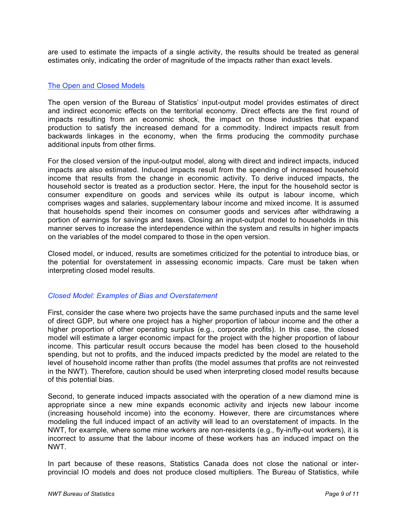are used to estimate the impacts of a single activity, the results should be treated as general estimates only, indicating the order of magnitude of the impacts rather than exact levels.

# The Open and Closed Models

The open version of the Bureau of Statistics' input-output model provides estimates of direct and indirect economic effects on the territorial economy. Direct effects are the first round of impacts resulting from an economic shock, the impact on those industries that expand production to satisfy the increased demand for a commodity. Indirect impacts result from backwards linkages in the economy, when the firms producing the commodity purchase additional inputs from other firms.

For the closed version of the input-output model, along with direct and indirect impacts, induced impacts are also estimated. Induced impacts result from the spending of increased household income that results from the change in economic activity. To derive induced impacts, the household sector is treated as a production sector. Here, the input for the household sector is consumer expenditure on goods and services while its output is labour income, which comprises wages and salaries, supplementary labour income and mixed income. It is assumed that households spend their incomes on consumer goods and services after withdrawing a portion of earnings for savings and taxes. Closing an input-output model to households in this manner serves to increase the interdependence within the system and results in higher impacts on the variables of the model compared to those in the open version.

Closed model, or induced, results are sometimes criticized for the potential to introduce bias, or the potential for overstatement in assessing economic impacts. Care must be taken when interpreting closed model results.

# *Closed Model: Examples of Bias and Overstatement*

First, consider the case where two projects have the same purchased inputs and the same level of direct GDP, but where one project has a higher proportion of labour income and the other a higher proportion of other operating surplus (e.g., corporate profits). In this case, the closed model will estimate a larger economic impact for the project with the higher proportion of labour income. This particular result occurs because the model has been closed to the household spending, but not to profits, and the induced impacts predicted by the model are related to the level of household income rather than profits (the model assumes that profits are not reinvested in the NWT). Therefore, caution should be used when interpreting closed model results because of this potential bias.

Second, to generate induced impacts associated with the operation of a new diamond mine is appropriate since a new mine expands economic activity and injects new labour income (increasing household income) into the economy. However, there are circumstances where modeling the full induced impact of an activity will lead to an overstatement of impacts. In the NWT, for example, where some mine workers are non-residents (e.g., fly-in/fly-out workers), it is incorrect to assume that the labour income of these workers has an induced impact on the NWT.

In part because of these reasons, Statistics Canada does not close the national or interprovincial IO models and does not produce closed multipliers. The Bureau of Statistics, while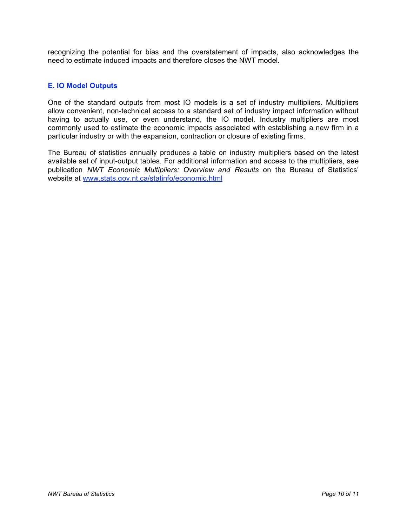recognizing the potential for bias and the overstatement of impacts, also acknowledges the need to estimate induced impacts and therefore closes the NWT model.

# **E. IO Model Outputs**

One of the standard outputs from most IO models is a set of industry multipliers. Multipliers allow convenient, non-technical access to a standard set of industry impact information without having to actually use, or even understand, the IO model. Industry multipliers are most commonly used to estimate the economic impacts associated with establishing a new firm in a particular industry or with the expansion, contraction or closure of existing firms.

The Bureau of statistics annually produces a table on industry multipliers based on the latest available set of input-output tables. For additional information and access to the multipliers, see publication *NWT Economic Multipliers: Overview and Results* on the Bureau of Statistics' website at www.stats.gov.nt.ca/statinfo/economic.html